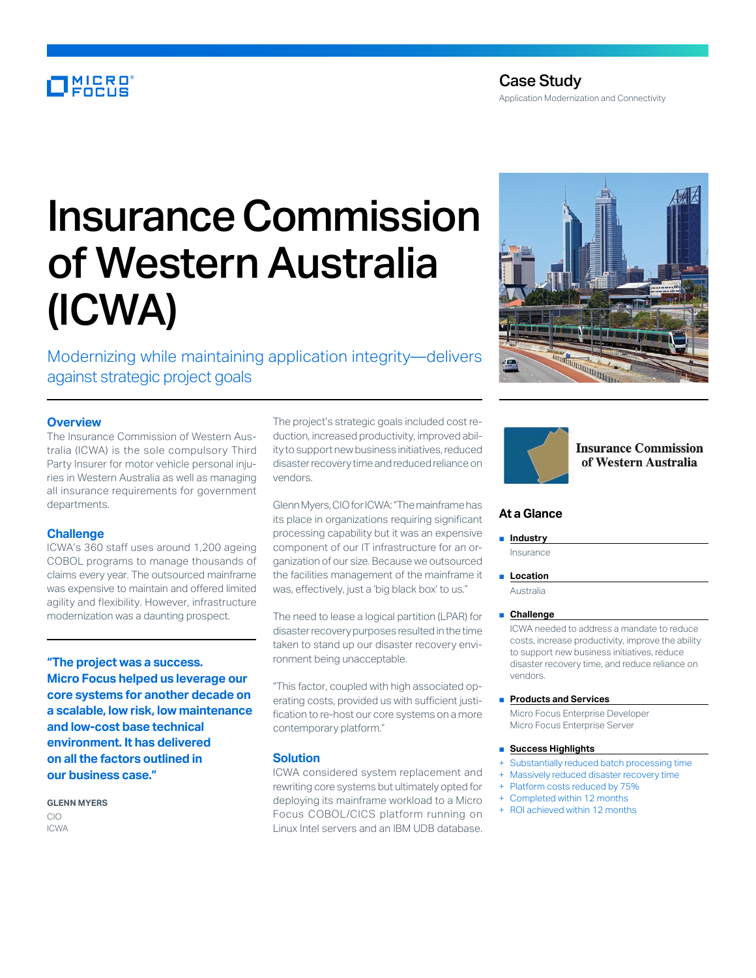# MICRO<sup>®</sup>

# Insurance Commission of Western Australia (ICWA)

Modernizing while maintaining application integrity—delivers against strategic project goals

# **Overview**

The Insurance Commission of Western Australia (ICWA) is the sole compulsory Third Party Insurer for motor vehicle personal injuries in Western Australia as well as managing all insurance requirements for government departments.

## **Challenge**

ICWA's 360 staff uses around 1,200 ageing COBOL programs to manage thousands of claims every year. The outsourced mainframe was expensive to maintain and offered limited agility and flexibility. However, infrastructure modernization was a daunting prospect.

**"The project was a success. Micro Focus helped us leverage our core systems for another decade on a scalable, low risk, low maintenance and low-cost base technical environment. It has delivered on all the factors outlined in our business case."**

**GLENN MYERS** CIO ICWA

The project's strategic goals included cost reduction, increased productivity, improved ability to support new business initiatives, reduced disaster recovery time and reduced reliance on vendors.

Glenn Myers, CIO for ICWA: "The mainframe has its place in organizations requiring significant processing capability but it was an expensive component of our IT infrastructure for an organization of our size. Because we outsourced the facilities management of the mainframe it was, effectively, just a 'big black box' to us."

The need to lease a logical partition (LPAR) for disaster recovery purposes resulted in the time taken to stand up our disaster recovery environment being unacceptable.

"This factor, coupled with high associated operating costs, provided us with sufficient justification to re-host our core systems on a more contemporary platform."

#### **Solution**

ICWA considered system replacement and rewriting core systems but ultimately opted for deploying its mainframe workload to a Micro Focus COBOL/CICS platform running on Linux Intel servers and an IBM UDB database.





# **Insurance Commission** of Western Australia

# **At a Glance**

#### ■ **Industry**

Insurance

■ **Location** 

Australia

■ **Challenge**

ICWA needed to address a mandate to reduce costs, increase productivity, improve the ability to support new business initiatives, reduce disaster recovery time, and reduce reliance on vendors.

■ **Products and Services**

Micro Focus Enterprise Developer Micro Focus Enterprise Server

#### ■ **Success Highlights**

- Substantially reduced batch processing time
- Massively reduced disaster recovery time
- Platform costs reduced by 75%
- Completed within 12 months ROI achieved within 12 months